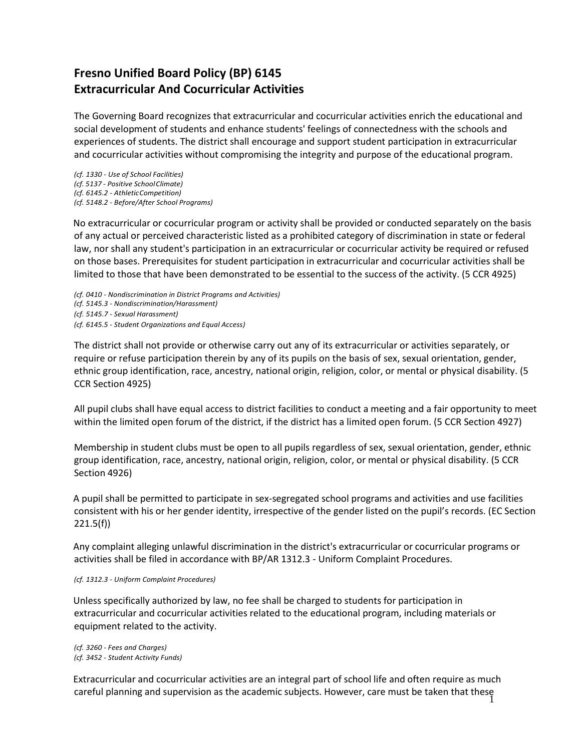# **Fresno Unified Board Policy (BP) 6145 Extracurricular And Cocurricular Activities**

The Governing Board recognizes that extracurricular and cocurricular activities enrich the educational and social development of students and enhance students' feelings of connectedness with the schools and experiences of students. The district shall encourage and support student participation in extracurricular and cocurricular activities without compromising the integrity and purpose of the educational program.

*(cf. 1330 - Use of School Facilities) (cf. 5137 - Positive SchoolClimate) (cf. 6145.2 - AthleticCompetition) (cf. 5148.2 - Before/After School Programs)*

No extracurricular or cocurricular program or activity shall be provided or conducted separately on the basis of any actual or perceived characteristic listed as a prohibited category of discrimination in state or federal law, nor shall any student's participation in an extracurricular or cocurricular activity be required or refused on those bases. Prerequisites for student participation in extracurricular and cocurricular activities shall be limited to those that have been demonstrated to be essential to the success of the activity. (5 CCR 4925)

```
(cf. 0410 - Nondiscrimination in District Programs and Activities) 
(cf. 5145.3 - Nondiscrimination/Harassment)
(cf. 5145.7 - Sexual Harassment)
(cf. 6145.5 - Student Organizations and Equal Access)
```
The district shall not provide or otherwise carry out any of its extracurricular or activities separately, or require or refuse participation therein by any of its pupils on the basis of sex, sexual orientation, gender, ethnic group identification, race, ancestry, national origin, religion, color, or mental or physical disability. (5 CCR Section 4925)

All pupil clubs shall have equal access to district facilities to conduct a meeting and a fair opportunity to meet within the limited open forum of the district, if the district has a limited open forum. (5 CCR Section 4927)

Membership in student clubs must be open to all pupils regardless of sex, sexual orientation, gender, ethnic group identification, race, ancestry, national origin, religion, color, or mental or physical disability. (5 CCR Section 4926)

A pupil shall be permitted to participate in sex-segregated school programs and activities and use facilities consistent with his or her gender identity, irrespective of the gender listed on the pupil's records. (EC Section 221.5(f))

Any complaint alleging unlawful discrimination in the district's extracurricular or cocurricular programs or activities shall be filed in accordance with BP/AR 1312.3 - Uniform Complaint Procedures.

#### *(cf. 1312.3 - Uniform Complaint Procedures)*

Unless specifically authorized by law, no fee shall be charged to students for participation in extracurricular and cocurricular activities related to the educational program, including materials or equipment related to the activity.

```
(cf. 3260 - Fees and Charges)
(cf. 3452 - Student Activity Funds)
```
careful planning and supervision as the academic subjects. However, care must be taken that these<br>1 Extracurricular and cocurricular activities are an integral part of school life and often require as much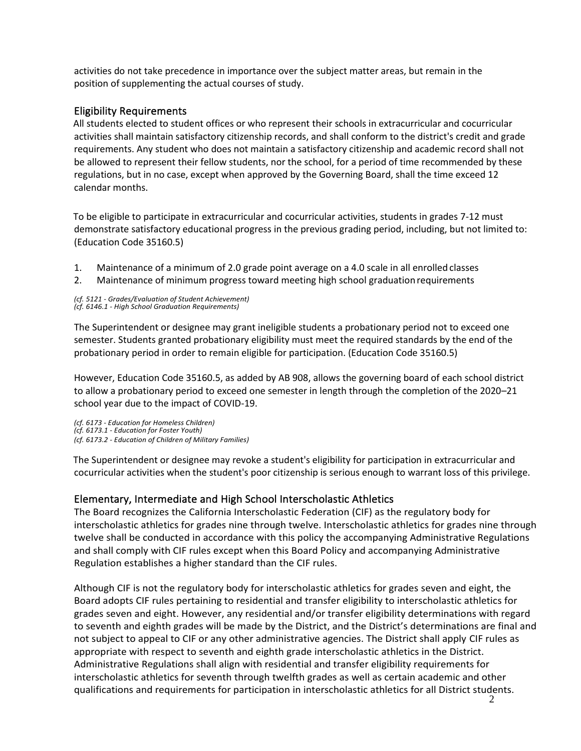activities do not take precedence in importance over the subject matter areas, but remain in the position of supplementing the actual courses of study.

### Eligibility Requirements

All students elected to student offices or who represent their schools in extracurricular and cocurricular activities shall maintain satisfactory citizenship records, and shall conform to the district's credit and grade requirements. Any student who does not maintain a satisfactory citizenship and academic record shall not be allowed to represent their fellow students, nor the school, for a period of time recommended by these regulations, but in no case, except when approved by the Governing Board, shall the time exceed 12 calendar months.

To be eligible to participate in extracurricular and cocurricular activities, students in grades 7-12 must demonstrate satisfactory educational progress in the previous grading period, including, but not limited to: (Education Code 35160.5)

- 1. Maintenance of a minimum of 2.0 grade point average on a 4.0 scale in all enrolled classes
- 2. Maintenance of minimum progress toward meeting high school graduationrequirements

*(cf. 5121 - Grades/Evaluation of Student Achievement) (cf. 6146.1 - High School Graduation Requirements)*

The Superintendent or designee may grant ineligible students a probationary period not to exceed one semester. Students granted probationary eligibility must meet the required standards by the end of the probationary period in order to remain eligible for participation. (Education Code 35160.5)

However, Education Code 35160.5, as added by AB 908, allows the governing board of each school district to allow a probationary period to exceed one semester in length through the completion of the 2020–21 school year due to the impact of COVID-19.

*(cf. 6173 - Education for Homeless Children) (cf. 6173.1 - Education for Foster Youth) (cf. 6173.2 - Education of Children of Military Families)*

The Superintendent or designee may revoke a student's eligibility for participation in extracurricular and cocurricular activities when the student's poor citizenship is serious enough to warrant loss of this privilege.

### Elementary, Intermediate and High School Interscholastic Athletics

The Board recognizes the California Interscholastic Federation (CIF) as the regulatory body for interscholastic athletics for grades nine through twelve. Interscholastic athletics for grades nine through twelve shall be conducted in accordance with this policy the accompanying Administrative Regulations and shall comply with CIF rules except when this Board Policy and accompanying Administrative Regulation establishes a higher standard than the CIF rules.

Although CIF is not the regulatory body for interscholastic athletics for grades seven and eight, the Board adopts CIF rules pertaining to residential and transfer eligibility to interscholastic athletics for grades seven and eight. However, any residential and/or transfer eligibility determinations with regard to seventh and eighth grades will be made by the District, and the District's determinations are final and not subject to appeal to CIF or any other administrative agencies. The District shall apply CIF rules as appropriate with respect to seventh and eighth grade interscholastic athletics in the District. Administrative Regulations shall align with residential and transfer eligibility requirements for interscholastic athletics for seventh through twelfth grades as well as certain academic and other qualifications and requirements for participation in interscholastic athletics for all District students.